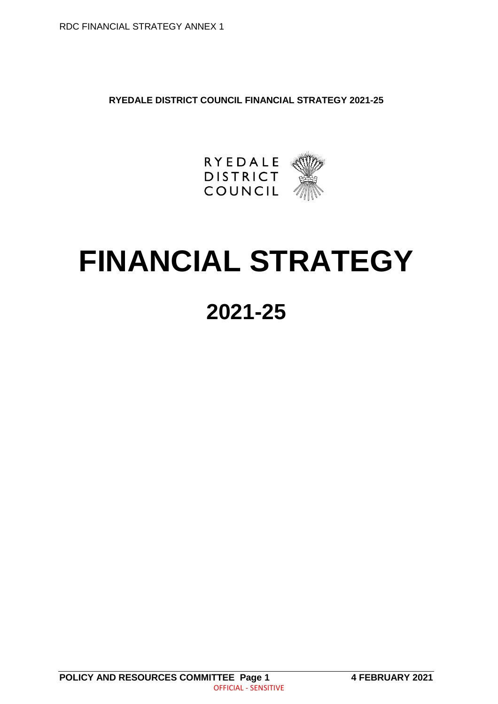**RYEDALE DISTRICT COUNCIL FINANCIAL STRATEGY 2021-25**



# **FINANCIAL STRATEGY**

# **2021-25**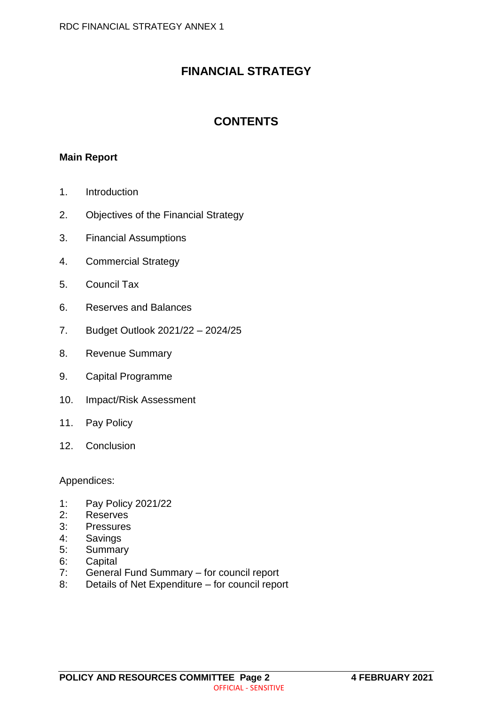# **FINANCIAL STRATEGY**

# **CONTENTS**

### **Main Report**

- 1. Introduction
- 2. Objectives of the Financial Strategy
- 3. Financial Assumptions
- 4. Commercial Strategy
- 5. Council Tax
- 6. Reserves and Balances
- 7. Budget Outlook 2021/22 2024/25
- 8. Revenue Summary
- 9. Capital Programme
- 10. Impact/Risk Assessment
- 11. Pay Policy
- 12. Conclusion

Appendices:

- 1: Pay Policy 2021/22
- 2: Reserves
- 3: Pressures
- 4: Savings
- 5: Summary
- 6: Capital<br>7: Genera
- General Fund Summary for council report
- 8: Details of Net Expenditure for council report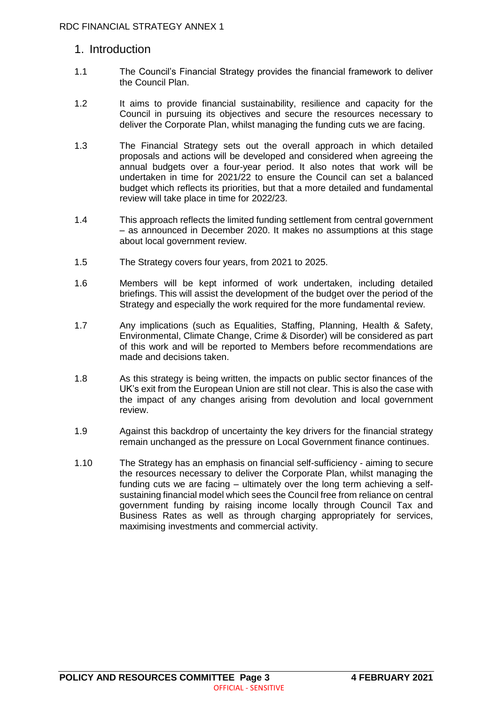## 1. Introduction

- 1.1 The Council's Financial Strategy provides the financial framework to deliver the Council Plan.
- 1.2 It aims to provide financial sustainability, resilience and capacity for the Council in pursuing its objectives and secure the resources necessary to deliver the Corporate Plan, whilst managing the funding cuts we are facing.
- 1.3 The Financial Strategy sets out the overall approach in which detailed proposals and actions will be developed and considered when agreeing the annual budgets over a four-year period. It also notes that work will be undertaken in time for 2021/22 to ensure the Council can set a balanced budget which reflects its priorities, but that a more detailed and fundamental review will take place in time for 2022/23.
- 1.4 This approach reflects the limited funding settlement from central government – as announced in December 2020. It makes no assumptions at this stage about local government review.
- 1.5 The Strategy covers four years, from 2021 to 2025.
- 1.6 Members will be kept informed of work undertaken, including detailed briefings. This will assist the development of the budget over the period of the Strategy and especially the work required for the more fundamental review.
- 1.7 Any implications (such as Equalities, Staffing, Planning, Health & Safety, Environmental, Climate Change, Crime & Disorder) will be considered as part of this work and will be reported to Members before recommendations are made and decisions taken.
- 1.8 As this strategy is being written, the impacts on public sector finances of the UK's exit from the European Union are still not clear. This is also the case with the impact of any changes arising from devolution and local government review.
- 1.9 Against this backdrop of uncertainty the key drivers for the financial strategy remain unchanged as the pressure on Local Government finance continues.
- 1.10 The Strategy has an emphasis on financial self-sufficiency aiming to secure the resources necessary to deliver the Corporate Plan, whilst managing the funding cuts we are facing – ultimately over the long term achieving a selfsustaining financial model which sees the Council free from reliance on central government funding by raising income locally through Council Tax and Business Rates as well as through charging appropriately for services, maximising investments and commercial activity.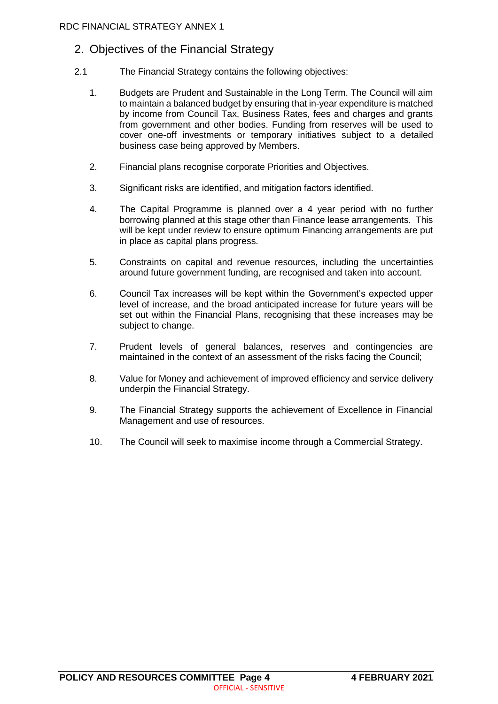# 2. Objectives of the Financial Strategy

- 2.1 The Financial Strategy contains the following objectives:
	- 1. Budgets are Prudent and Sustainable in the Long Term. The Council will aim to maintain a balanced budget by ensuring that in-year expenditure is matched by income from Council Tax, Business Rates, fees and charges and grants from government and other bodies. Funding from reserves will be used to cover one-off investments or temporary initiatives subject to a detailed business case being approved by Members.
	- 2. Financial plans recognise corporate Priorities and Objectives.
	- 3. Significant risks are identified, and mitigation factors identified.
	- 4. The Capital Programme is planned over a 4 year period with no further borrowing planned at this stage other than Finance lease arrangements. This will be kept under review to ensure optimum Financing arrangements are put in place as capital plans progress.
	- 5. Constraints on capital and revenue resources, including the uncertainties around future government funding, are recognised and taken into account.
	- 6. Council Tax increases will be kept within the Government's expected upper level of increase, and the broad anticipated increase for future years will be set out within the Financial Plans, recognising that these increases may be subject to change.
	- 7. Prudent levels of general balances, reserves and contingencies are maintained in the context of an assessment of the risks facing the Council;
	- 8. Value for Money and achievement of improved efficiency and service delivery underpin the Financial Strategy.
	- 9. The Financial Strategy supports the achievement of Excellence in Financial Management and use of resources.
	- 10. The Council will seek to maximise income through a Commercial Strategy.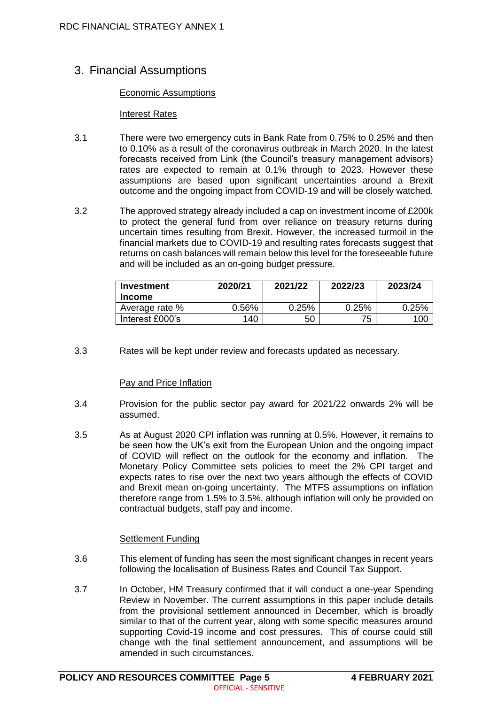# 3. Financial Assumptions

#### Economic Assumptions

#### Interest Rates

- 3.1 There were two emergency cuts in Bank Rate from 0.75% to 0.25% and then to 0.10% as a result of the coronavirus outbreak in March 2020. In the latest forecasts received from Link (the Council's treasury management advisors) rates are expected to remain at 0.1% through to 2023. However these assumptions are based upon significant uncertainties around a Brexit outcome and the ongoing impact from COVID-19 and will be closely watched.
- 3.2 The approved strategy already included a cap on investment income of £200k to protect the general fund from over reliance on treasury returns during uncertain times resulting from Brexit. However, the increased turmoil in the financial markets due to COVID-19 and resulting rates forecasts suggest that returns on cash balances will remain below this level for the foreseeable future and will be included as an on-going budget pressure.

| Investment<br><b>Income</b> | 2020/21 | 2021/22 | 2022/23  | 2023/24 |
|-----------------------------|---------|---------|----------|---------|
| Average rate %              | 0.56%   | 0.25%   | $0.25\%$ | 0.25%   |
| Interest £000's             | 140     | 50      | 75       | 100     |

3.3 Rates will be kept under review and forecasts updated as necessary.

#### Pay and Price Inflation

- 3.4 Provision for the public sector pay award for 2021/22 onwards 2% will be assumed.
- 3.5 As at August 2020 CPI inflation was running at 0.5%. However, it remains to be seen how the UK's exit from the European Union and the ongoing impact of COVID will reflect on the outlook for the economy and inflation. The Monetary Policy Committee sets policies to meet the 2% CPI target and expects rates to rise over the next two years although the effects of COVID and Brexit mean on-going uncertainty. The MTFS assumptions on inflation therefore range from 1.5% to 3.5%, although inflation will only be provided on contractual budgets, staff pay and income.

#### Settlement Funding

- 3.6 This element of funding has seen the most significant changes in recent years following the localisation of Business Rates and Council Tax Support.
- 3.7 In October, HM Treasury confirmed that it will conduct a one-year Spending Review in November. The current assumptions in this paper include details from the provisional settlement announced in December, which is broadly similar to that of the current year, along with some specific measures around supporting Covid-19 income and cost pressures. This of course could still change with the final settlement announcement, and assumptions will be amended in such circumstances.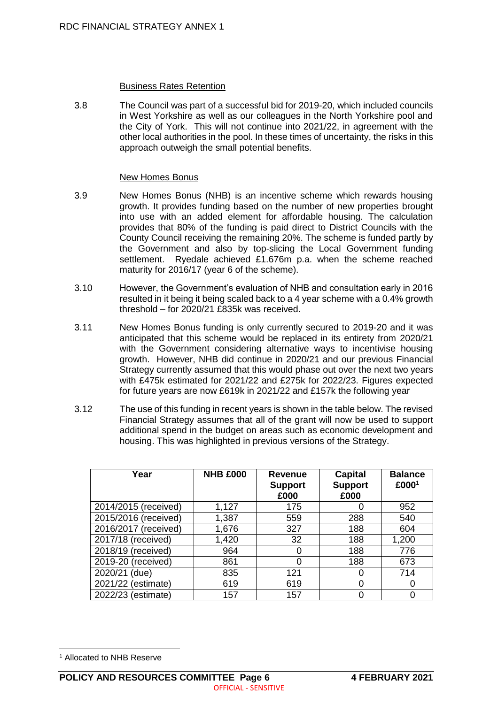#### Business Rates Retention

3.8 The Council was part of a successful bid for 2019-20, which included councils in West Yorkshire as well as our colleagues in the North Yorkshire pool and the City of York. This will not continue into 2021/22, in agreement with the other local authorities in the pool. In these times of uncertainty, the risks in this approach outweigh the small potential benefits.

#### New Homes Bonus

- 3.9 New Homes Bonus (NHB) is an incentive scheme which rewards housing growth. It provides funding based on the number of new properties brought into use with an added element for affordable housing. The calculation provides that 80% of the funding is paid direct to District Councils with the County Council receiving the remaining 20%. The scheme is funded partly by the Government and also by top-slicing the Local Government funding settlement. Ryedale achieved £1.676m p.a. when the scheme reached maturity for 2016/17 (year 6 of the scheme).
- 3.10 However, the Government's evaluation of NHB and consultation early in 2016 resulted in it being it being scaled back to a 4 year scheme with a 0.4% growth threshold – for 2020/21 £835k was received.
- 3.11 New Homes Bonus funding is only currently secured to 2019-20 and it was anticipated that this scheme would be replaced in its entirety from 2020/21 with the Government considering alternative ways to incentivise housing growth. However, NHB did continue in 2020/21 and our previous Financial Strategy currently assumed that this would phase out over the next two years with £475k estimated for 2021/22 and £275k for 2022/23. Figures expected for future years are now £619k in 2021/22 and £157k the following year
- 3.12 The use of this funding in recent years is shown in the table below. The revised Financial Strategy assumes that all of the grant will now be used to support additional spend in the budget on areas such as economic development and housing. This was highlighted in previous versions of the Strategy.

| Year                 | <b>NHB £000</b> | <b>Revenue</b><br><b>Support</b><br>£000 | Capital<br><b>Support</b><br>£000 | <b>Balance</b><br>£0001 |
|----------------------|-----------------|------------------------------------------|-----------------------------------|-------------------------|
| 2014/2015 (received) | 1,127           | 175                                      |                                   | 952                     |
| 2015/2016 (received) | 1,387           | 559                                      | 288                               | 540                     |
| 2016/2017 (received) | 1,676           | 327                                      | 188                               | 604                     |
| 2017/18 (received)   | 1,420           | 32                                       | 188                               | 1,200                   |
| 2018/19 (received)   | 964             |                                          | 188                               | 776                     |
| 2019-20 (received)   | 861             |                                          | 188                               | 673                     |
| 2020/21 (due)        | 835             | 121                                      |                                   | 714                     |
| 2021/22 (estimate)   | 619             | 619                                      |                                   | 0                       |
| 2022/23 (estimate)   | 157             | 157                                      |                                   |                         |

 $\overline{a}$ 

<sup>1</sup> Allocated to NHB Reserve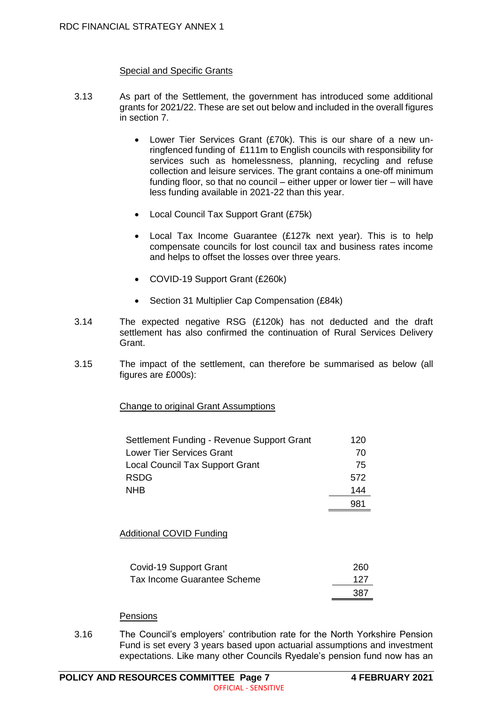#### Special and Specific Grants

- 3.13 As part of the Settlement, the government has introduced some additional grants for 2021/22. These are set out below and included in the overall figures in section 7.
	- Lower Tier Services Grant (£70k). This is our share of a new unringfenced funding of £111m to English councils with responsibility for services such as homelessness, planning, recycling and refuse collection and leisure services. The grant contains a one-off minimum funding floor, so that no council – either upper or lower tier – will have less funding available in 2021-22 than this year.
	- Local Council Tax Support Grant (£75k)
	- Local Tax Income Guarantee (£127k next year). This is to help compensate councils for lost council tax and business rates income and helps to offset the losses over three years.
	- COVID-19 Support Grant (£260k)
	- Section 31 Multiplier Cap Compensation (£84k)
- 3.14 The expected negative RSG (£120k) has not deducted and the draft settlement has also confirmed the continuation of Rural Services Delivery Grant.
- 3.15 The impact of the settlement, can therefore be summarised as below (all figures are £000s):

Change to original Grant Assumptions

| Settlement Funding - Revenue Support Grant | 120 |
|--------------------------------------------|-----|
| <b>Lower Tier Services Grant</b>           | 70  |
| <b>Local Council Tax Support Grant</b>     | 75  |
| <b>RSDG</b>                                | 572 |
| <b>NHB</b>                                 | 144 |
|                                            | 981 |

#### Additional COVID Funding

| Covid-19 Support Grant      | 260  |
|-----------------------------|------|
| Tax Income Guarantee Scheme | 127  |
|                             | -387 |

#### **Pensions**

3.16 The Council's employers' contribution rate for the North Yorkshire Pension Fund is set every 3 years based upon actuarial assumptions and investment expectations. Like many other Councils Ryedale's pension fund now has an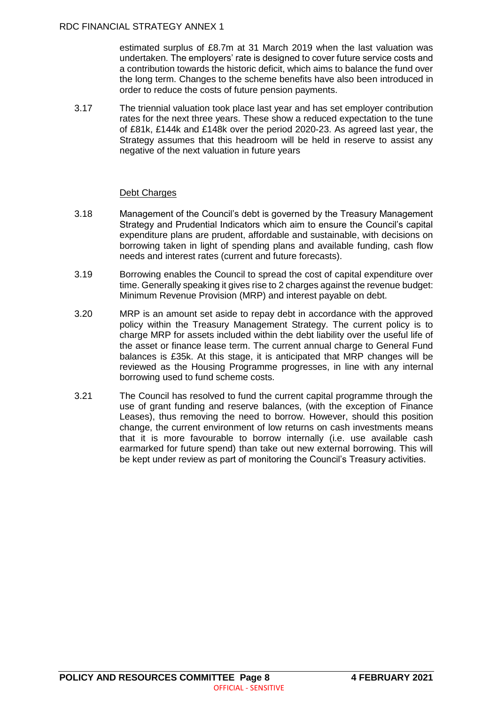estimated surplus of £8.7m at 31 March 2019 when the last valuation was undertaken. The employers' rate is designed to cover future service costs and a contribution towards the historic deficit, which aims to balance the fund over the long term. Changes to the scheme benefits have also been introduced in order to reduce the costs of future pension payments.

3.17 The triennial valuation took place last year and has set employer contribution rates for the next three years. These show a reduced expectation to the tune of £81k, £144k and £148k over the period 2020-23. As agreed last year, the Strategy assumes that this headroom will be held in reserve to assist any negative of the next valuation in future years

#### Debt Charges

- 3.18 Management of the Council's debt is governed by the Treasury Management Strategy and Prudential Indicators which aim to ensure the Council's capital expenditure plans are prudent, affordable and sustainable, with decisions on borrowing taken in light of spending plans and available funding, cash flow needs and interest rates (current and future forecasts).
- 3.19 Borrowing enables the Council to spread the cost of capital expenditure over time. Generally speaking it gives rise to 2 charges against the revenue budget: Minimum Revenue Provision (MRP) and interest payable on debt.
- 3.20 MRP is an amount set aside to repay debt in accordance with the approved policy within the Treasury Management Strategy. The current policy is to charge MRP for assets included within the debt liability over the useful life of the asset or finance lease term. The current annual charge to General Fund balances is £35k. At this stage, it is anticipated that MRP changes will be reviewed as the Housing Programme progresses, in line with any internal borrowing used to fund scheme costs.
- 3.21 The Council has resolved to fund the current capital programme through the use of grant funding and reserve balances, (with the exception of Finance Leases), thus removing the need to borrow. However, should this position change, the current environment of low returns on cash investments means that it is more favourable to borrow internally (i.e. use available cash earmarked for future spend) than take out new external borrowing. This will be kept under review as part of monitoring the Council's Treasury activities.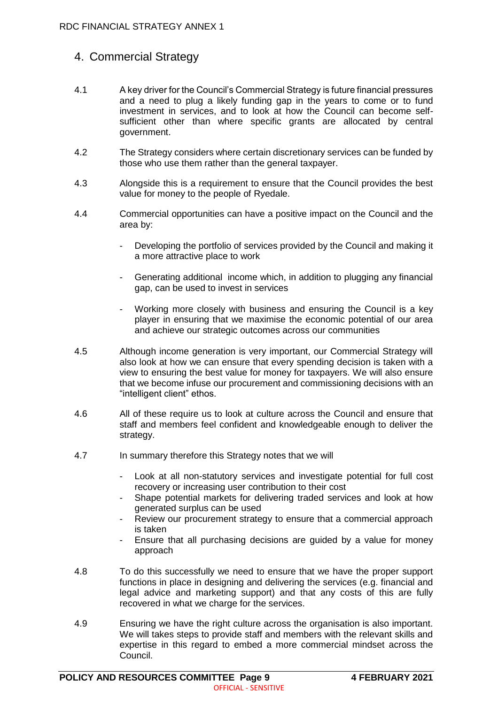# 4. Commercial Strategy

- 4.1 A key driver for the Council's Commercial Strategy is future financial pressures and a need to plug a likely funding gap in the years to come or to fund investment in services, and to look at how the Council can become selfsufficient other than where specific grants are allocated by central government.
- 4.2 The Strategy considers where certain discretionary services can be funded by those who use them rather than the general taxpayer.
- 4.3 Alongside this is a requirement to ensure that the Council provides the best value for money to the people of Ryedale.
- 4.4 Commercial opportunities can have a positive impact on the Council and the area by:
	- Developing the portfolio of services provided by the Council and making it a more attractive place to work
	- Generating additional income which, in addition to plugging any financial gap, can be used to invest in services
	- Working more closely with business and ensuring the Council is a key player in ensuring that we maximise the economic potential of our area and achieve our strategic outcomes across our communities
- 4.5 Although income generation is very important, our Commercial Strategy will also look at how we can ensure that every spending decision is taken with a view to ensuring the best value for money for taxpayers. We will also ensure that we become infuse our procurement and commissioning decisions with an "intelligent client" ethos.
- 4.6 All of these require us to look at culture across the Council and ensure that staff and members feel confident and knowledgeable enough to deliver the strategy.
- 4.7 In summary therefore this Strategy notes that we will
	- Look at all non-statutory services and investigate potential for full cost recovery or increasing user contribution to their cost
	- Shape potential markets for delivering traded services and look at how generated surplus can be used
	- Review our procurement strategy to ensure that a commercial approach is taken
	- Ensure that all purchasing decisions are guided by a value for money approach
- 4.8 To do this successfully we need to ensure that we have the proper support functions in place in designing and delivering the services (e.g. financial and legal advice and marketing support) and that any costs of this are fully recovered in what we charge for the services.
- 4.9 Ensuring we have the right culture across the organisation is also important. We will takes steps to provide staff and members with the relevant skills and expertise in this regard to embed a more commercial mindset across the Council.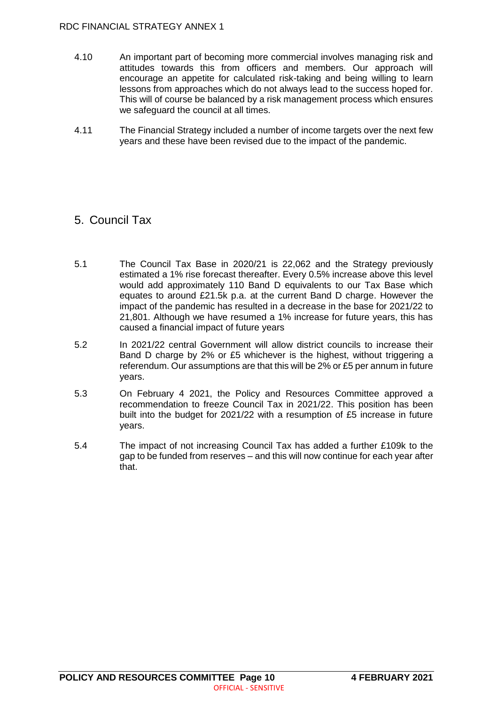- 4.10 An important part of becoming more commercial involves managing risk and attitudes towards this from officers and members. Our approach will encourage an appetite for calculated risk-taking and being willing to learn lessons from approaches which do not always lead to the success hoped for. This will of course be balanced by a risk management process which ensures we safeguard the council at all times.
- 4.11 The Financial Strategy included a number of income targets over the next few years and these have been revised due to the impact of the pandemic.

# 5. Council Tax

- 5.1 The Council Tax Base in 2020/21 is 22,062 and the Strategy previously estimated a 1% rise forecast thereafter. Every 0.5% increase above this level would add approximately 110 Band D equivalents to our Tax Base which equates to around £21.5k p.a. at the current Band D charge. However the impact of the pandemic has resulted in a decrease in the base for 2021/22 to 21,801. Although we have resumed a 1% increase for future years, this has caused a financial impact of future years
- 5.2 In 2021/22 central Government will allow district councils to increase their Band D charge by 2% or £5 whichever is the highest, without triggering a referendum. Our assumptions are that this will be 2% or £5 per annum in future years.
- 5.3 On February 4 2021, the Policy and Resources Committee approved a recommendation to freeze Council Tax in 2021/22. This position has been built into the budget for 2021/22 with a resumption of £5 increase in future years.
- 5.4 The impact of not increasing Council Tax has added a further £109k to the gap to be funded from reserves – and this will now continue for each year after that.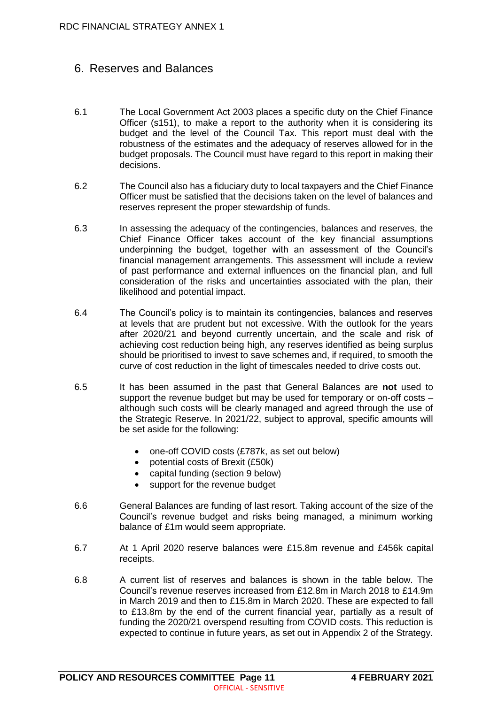# 6. Reserves and Balances

- 6.1 The Local Government Act 2003 places a specific duty on the Chief Finance Officer (s151), to make a report to the authority when it is considering its budget and the level of the Council Tax. This report must deal with the robustness of the estimates and the adequacy of reserves allowed for in the budget proposals. The Council must have regard to this report in making their decisions.
- 6.2 The Council also has a fiduciary duty to local taxpayers and the Chief Finance Officer must be satisfied that the decisions taken on the level of balances and reserves represent the proper stewardship of funds.
- 6.3 In assessing the adequacy of the contingencies, balances and reserves, the Chief Finance Officer takes account of the key financial assumptions underpinning the budget, together with an assessment of the Council's financial management arrangements. This assessment will include a review of past performance and external influences on the financial plan, and full consideration of the risks and uncertainties associated with the plan, their likelihood and potential impact.
- 6.4 The Council's policy is to maintain its contingencies, balances and reserves at levels that are prudent but not excessive. With the outlook for the years after 2020/21 and beyond currently uncertain, and the scale and risk of achieving cost reduction being high, any reserves identified as being surplus should be prioritised to invest to save schemes and, if required, to smooth the curve of cost reduction in the light of timescales needed to drive costs out.
- 6.5 It has been assumed in the past that General Balances are **not** used to support the revenue budget but may be used for temporary or on-off costs – although such costs will be clearly managed and agreed through the use of the Strategic Reserve. In 2021/22, subject to approval, specific amounts will be set aside for the following:
	- one-off COVID costs (£787k, as set out below)
	- potential costs of Brexit (£50k)
	- capital funding (section 9 below)
	- support for the revenue budget
- 6.6 General Balances are funding of last resort. Taking account of the size of the Council's revenue budget and risks being managed, a minimum working balance of £1m would seem appropriate.
- 6.7 At 1 April 2020 reserve balances were £15.8m revenue and £456k capital receipts.
- 6.8 A current list of reserves and balances is shown in the table below. The Council's revenue reserves increased from £12.8m in March 2018 to £14.9m in March 2019 and then to £15.8m in March 2020. These are expected to fall to £13.8m by the end of the current financial year, partially as a result of funding the 2020/21 overspend resulting from COVID costs. This reduction is expected to continue in future years, as set out in Appendix 2 of the Strategy.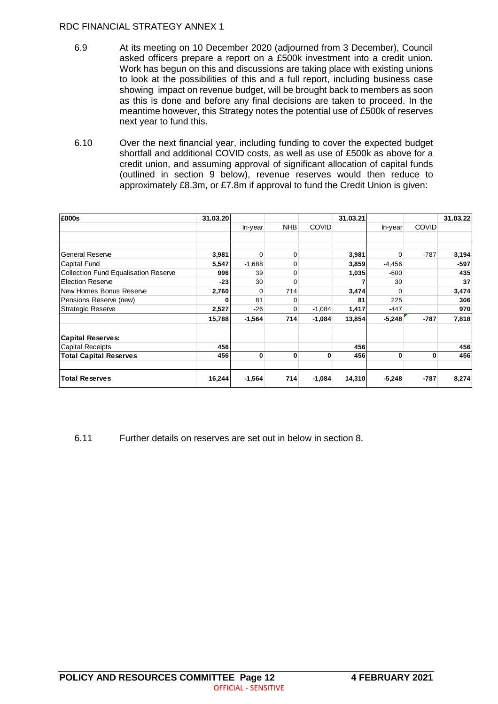- 6.9 At its meeting on 10 December 2020 (adjourned from 3 December), Council asked officers prepare a report on a £500k investment into a credit union. Work has begun on this and discussions are taking place with existing unions to look at the possibilities of this and a full report, including business case showing impact on revenue budget, will be brought back to members as soon as this is done and before any final decisions are taken to proceed. In the meantime however, this Strategy notes the potential use of £500k of reserves next year to fund this.
- 6.10 Over the next financial year, including funding to cover the expected budget shortfall and additional COVID costs, as well as use of £500k as above for a credit union, and assuming approval of significant allocation of capital funds (outlined in section 9 below), revenue reserves would then reduce to approximately £8.3m, or £7.8m if approval to fund the Credit Union is given:

| £000s                                | 31.03.20 |          |              |              | 31.03.21 |          |              | 31.03.22 |
|--------------------------------------|----------|----------|--------------|--------------|----------|----------|--------------|----------|
|                                      |          | In-year  | <b>NHB</b>   | <b>COVID</b> |          | In-year  | <b>COVID</b> |          |
|                                      |          |          |              |              |          |          |              |          |
|                                      |          |          |              |              |          |          |              |          |
| <b>General Reserve</b>               | 3,981    | $\Omega$ | $\mathbf 0$  |              | 3,981    | 0        | $-787$       | 3,194    |
| <b>Capital Fund</b>                  | 5,547    | $-1,688$ | 0            |              | 3,859    | $-4,456$ |              | $-597$   |
| Collection Fund Equalisation Reserve | 996      | 39       | $\Omega$     |              | 1,035    | $-600$   |              | 435      |
| <b>Election Reserve</b>              | $-23$    | 30       | $\mathbf 0$  |              |          | 30       |              | 37       |
| New Homes Bonus Reserve              | 2,760    | 0        | 714          |              | 3,474    | 0        |              | 3,474    |
| Pensions Reserve (new)               | 0        | 81       | 0            |              | 81       | 225      |              | 306      |
| <b>Strategic Reserve</b>             | 2,527    | $-26$    | 0            | $-1,084$     | 1,417    | $-447$   |              | 970      |
|                                      | 15,788   | $-1,564$ | 714          | $-1,084$     | 13,854   | $-5,248$ | $-787$       | 7,818    |
| <b>Capital Reserves:</b>             |          |          |              |              |          |          |              |          |
| <b>Capital Receipts</b>              | 456      |          |              |              | 456      |          |              | 456      |
| <b>Total Capital Reserves</b>        | 456      | 0        | $\mathbf{0}$ | 0            | 456      | $\bf{0}$ | $\bf{0}$     | 456      |
| <b>Total Reserves</b>                | 16,244   | $-1,564$ | 714          | $-1,084$     | 14,310   | $-5,248$ | $-787$       | 8,274    |

6.11 Further details on reserves are set out in below in section 8.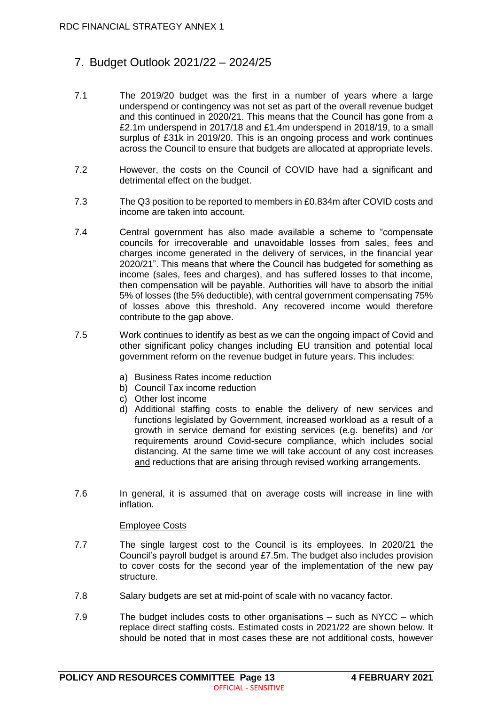# 7. Budget Outlook 2021/22 – 2024/25

- 7.1 The 2019/20 budget was the first in a number of years where a large underspend or contingency was not set as part of the overall revenue budget and this continued in 2020/21. This means that the Council has gone from a £2.1m underspend in 2017/18 and £1.4m underspend in 2018/19, to a small surplus of £31k in 2019/20. This is an ongoing process and work continues across the Council to ensure that budgets are allocated at appropriate levels.
- 7.2 However, the costs on the Council of COVID have had a significant and detrimental effect on the budget.
- 7.3 The Q3 position to be reported to members in £0.834m after COVID costs and income are taken into account.
- 7.4 Central government has also made available a scheme to "compensate councils for irrecoverable and unavoidable losses from sales, fees and charges income generated in the delivery of services, in the financial year 2020/21". This means that where the Council has budgeted for something as income (sales, fees and charges), and has suffered losses to that income, then compensation will be payable. Authorities will have to absorb the initial 5% of losses (the 5% deductible), with central government compensating 75% of losses above this threshold. Any recovered income would therefore contribute to the gap above.
- 7.5 Work continues to identify as best as we can the ongoing impact of Covid and other significant policy changes including EU transition and potential local government reform on the revenue budget in future years. This includes:
	- a) Business Rates income reduction
	- b) Council Tax income reduction
	- c) Other lost income
	- d) Additional staffing costs to enable the delivery of new services and functions legislated by Government, increased workload as a result of a growth in service demand for existing services (e.g. benefits) and /or requirements around Covid-secure compliance, which includes social distancing. At the same time we will take account of any cost increases and reductions that are arising through revised working arrangements.
- 7.6 In general, it is assumed that on average costs will increase in line with inflation.

#### Employee Costs

- 7.7 The single largest cost to the Council is its employees. In 2020/21 the Council's payroll budget is around £7.5m. The budget also includes provision to cover costs for the second year of the implementation of the new pay structure.
- 7.8 Salary budgets are set at mid-point of scale with no vacancy factor.
- 7.9 The budget includes costs to other organisations such as NYCC which replace direct staffing costs. Estimated costs in 2021/22 are shown below. It should be noted that in most cases these are not additional costs, however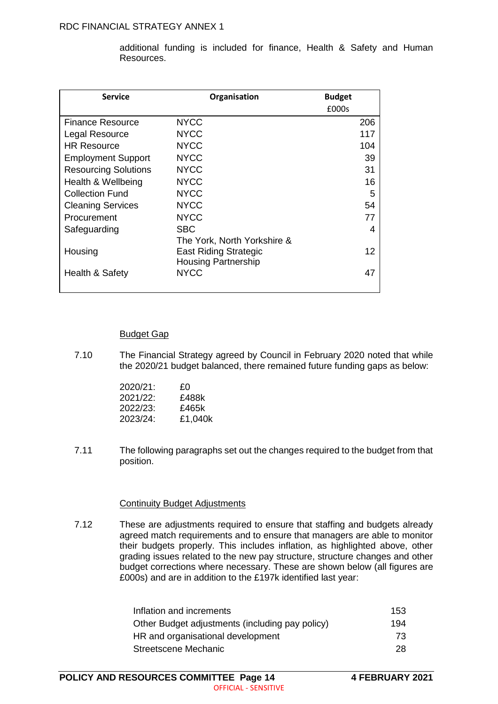additional funding is included for finance, Health & Safety and Human Resources.

| <b>Service</b>              | Organisation                 | <b>Budget</b> |
|-----------------------------|------------------------------|---------------|
|                             |                              | £000s         |
| Finance Resource            | <b>NYCC</b>                  | 206           |
| Legal Resource              | <b>NYCC</b>                  | 117           |
| <b>HR Resource</b>          | <b>NYCC</b>                  | 104           |
| <b>Employment Support</b>   | <b>NYCC</b>                  | 39            |
| <b>Resourcing Solutions</b> | <b>NYCC</b>                  | 31            |
| Health & Wellbeing          | <b>NYCC</b>                  | 16            |
| <b>Collection Fund</b>      | <b>NYCC</b>                  | 5             |
| <b>Cleaning Services</b>    | <b>NYCC</b>                  | 54            |
| Procurement                 | <b>NYCC</b>                  | 77            |
| Safeguarding                | <b>SBC</b>                   | 4             |
|                             | The York, North Yorkshire &  |               |
| Housing                     | <b>East Riding Strategic</b> | 12            |
|                             | <b>Housing Partnership</b>   |               |
| Health & Safety             | <b>NYCC</b>                  | 47            |
|                             |                              |               |

#### Budget Gap

7.10 The Financial Strategy agreed by Council in February 2020 noted that while the 2020/21 budget balanced, there remained future funding gaps as below:

| £Ο      |
|---------|
| £488k   |
| £465k   |
| £1,040k |
|         |

7.11 The following paragraphs set out the changes required to the budget from that position.

#### Continuity Budget Adjustments

7.12 These are adjustments required to ensure that staffing and budgets already agreed match requirements and to ensure that managers are able to monitor their budgets properly. This includes inflation, as highlighted above, other grading issues related to the new pay structure, structure changes and other budget corrections where necessary. These are shown below (all figures are £000s) and are in addition to the £197k identified last year:

| Inflation and increments                        | 153 |
|-------------------------------------------------|-----|
| Other Budget adjustments (including pay policy) | 194 |
| HR and organisational development               | -73 |
| Streetscene Mechanic                            | 28  |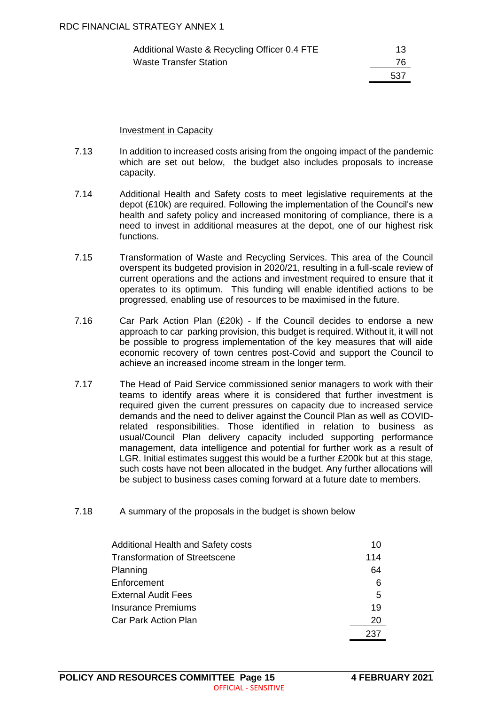| Additional Waste & Recycling Officer 0.4 FTE | 13   |
|----------------------------------------------|------|
| Waste Transfer Station                       | 76   |
|                                              | .537 |

#### Investment in Capacity

- 7.13 In addition to increased costs arising from the ongoing impact of the pandemic which are set out below, the budget also includes proposals to increase capacity.
- 7.14 Additional Health and Safety costs to meet legislative requirements at the depot (£10k) are required. Following the implementation of the Council's new health and safety policy and increased monitoring of compliance, there is a need to invest in additional measures at the depot, one of our highest risk functions.
- 7.15 Transformation of Waste and Recycling Services. This area of the Council overspent its budgeted provision in 2020/21, resulting in a full-scale review of current operations and the actions and investment required to ensure that it operates to its optimum. This funding will enable identified actions to be progressed, enabling use of resources to be maximised in the future.
- 7.16 Car Park Action Plan (£20k) If the Council decides to endorse a new approach to car parking provision, this budget is required. Without it, it will not be possible to progress implementation of the key measures that will aide economic recovery of town centres post-Covid and support the Council to achieve an increased income stream in the longer term.
- 7.17 The Head of Paid Service commissioned senior managers to work with their teams to identify areas where it is considered that further investment is required given the current pressures on capacity due to increased service demands and the need to deliver against the Council Plan as well as COVIDrelated responsibilities. Those identified in relation to business as usual/Council Plan delivery capacity included supporting performance management, data intelligence and potential for further work as a result of LGR. Initial estimates suggest this would be a further £200k but at this stage, such costs have not been allocated in the budget. Any further allocations will be subject to business cases coming forward at a future date to members.
- 7.18 A summary of the proposals in the budget is shown below

| Additional Health and Safety costs | 10  |
|------------------------------------|-----|
| Transformation of Streetscene      | 114 |
| Planning                           | 64  |
| Enforcement                        | 6   |
| <b>External Audit Fees</b>         | 5   |
| Insurance Premiums                 | 19  |
| <b>Car Park Action Plan</b>        | 20  |
|                                    | 237 |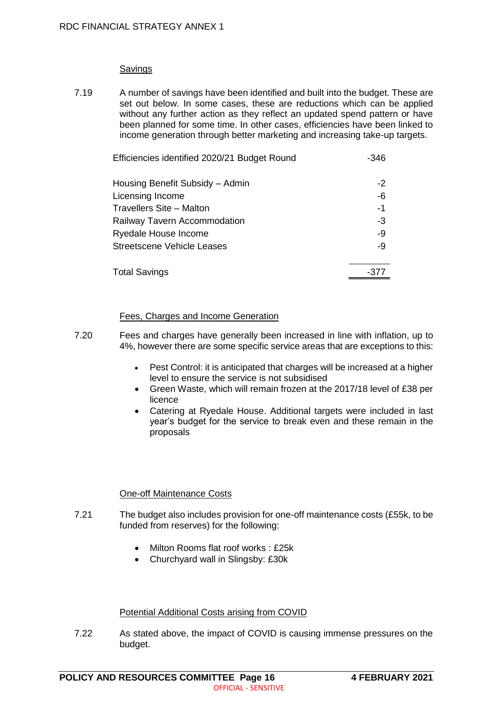#### Savings

7.19 A number of savings have been identified and built into the budget. These are set out below. In some cases, these are reductions which can be applied without any further action as they reflect an updated spend pattern or have been planned for some time. In other cases, efficiencies have been linked to income generation through better marketing and increasing take-up targets.

| Efficiencies identified 2020/21 Budget Round | $-346$ |
|----------------------------------------------|--------|
| Housing Benefit Subsidy - Admin              | $-2$   |
| Licensing Income                             | $-6$   |
| Travellers Site - Malton                     | $-1$   |
| Railway Tavern Accommodation                 | $-3$   |
| Ryedale House Income                         | -9     |
| <b>Streetscene Vehicle Leases</b>            | -9     |
| <b>Total Savings</b>                         | -377   |

#### Fees, Charges and Income Generation

- 7.20 Fees and charges have generally been increased in line with inflation, up to 4%, however there are some specific service areas that are exceptions to this:
	- Pest Control: it is anticipated that charges will be increased at a higher level to ensure the service is not subsidised
	- Green Waste, which will remain frozen at the 2017/18 level of £38 per licence
	- Catering at Ryedale House. Additional targets were included in last year's budget for the service to break even and these remain in the proposals

#### One-off Maintenance Costs

- 7.21 The budget also includes provision for one-off maintenance costs (£55k, to be funded from reserves) for the following:
	- Milton Rooms flat roof works : £25k
	- Churchyard wall in Slingsby: £30k

#### Potential Additional Costs arising from COVID

7.22 As stated above, the impact of COVID is causing immense pressures on the budget.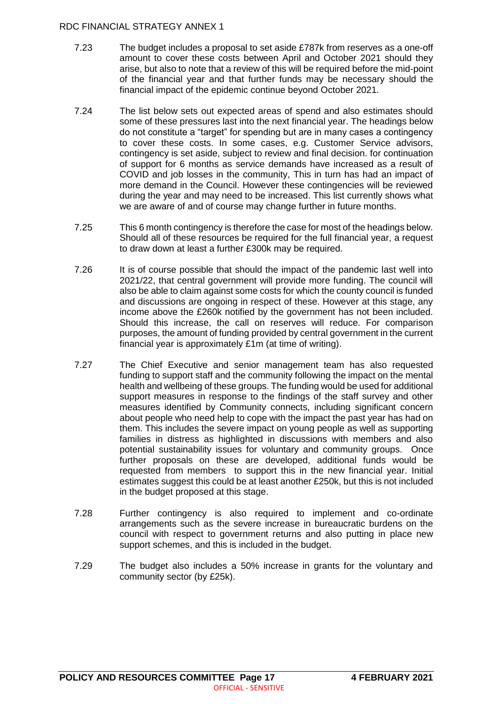- 7.23 The budget includes a proposal to set aside £787k from reserves as a one-off amount to cover these costs between April and October 2021 should they arise, but also to note that a review of this will be required before the mid-point of the financial year and that further funds may be necessary should the financial impact of the epidemic continue beyond October 2021.
- 7.24 The list below sets out expected areas of spend and also estimates should some of these pressures last into the next financial year. The headings below do not constitute a "target" for spending but are in many cases a contingency to cover these costs. In some cases, e.g. Customer Service advisors, contingency is set aside, subject to review and final decision. for continuation of support for 6 months as service demands have increased as a result of COVID and job losses in the community, This in turn has had an impact of more demand in the Council. However these contingencies will be reviewed during the year and may need to be increased. This list currently shows what we are aware of and of course may change further in future months.
- 7.25 This 6 month contingency is therefore the case for most of the headings below. Should all of these resources be required for the full financial year, a request to draw down at least a further £300k may be required.
- 7.26 It is of course possible that should the impact of the pandemic last well into 2021/22, that central government will provide more funding. The council will also be able to claim against some costs for which the county council is funded and discussions are ongoing in respect of these. However at this stage, any income above the £260k notified by the government has not been included. Should this increase, the call on reserves will reduce. For comparison purposes, the amount of funding provided by central government in the current financial year is approximately £1m (at time of writing).
- 7.27 The Chief Executive and senior management team has also requested funding to support staff and the community following the impact on the mental health and wellbeing of these groups. The funding would be used for additional support measures in response to the findings of the staff survey and other measures identified by Community connects, including significant concern about people who need help to cope with the impact the past year has had on them. This includes the severe impact on young people as well as supporting families in distress as highlighted in discussions with members and also potential sustainability issues for voluntary and community groups. Once further proposals on these are developed, additional funds would be requested from members to support this in the new financial year. Initial estimates suggest this could be at least another £250k, but this is not included in the budget proposed at this stage.
- 7.28 Further contingency is also required to implement and co-ordinate arrangements such as the severe increase in bureaucratic burdens on the council with respect to government returns and also putting in place new support schemes, and this is included in the budget.
- 7.29 The budget also includes a 50% increase in grants for the voluntary and community sector (by £25k).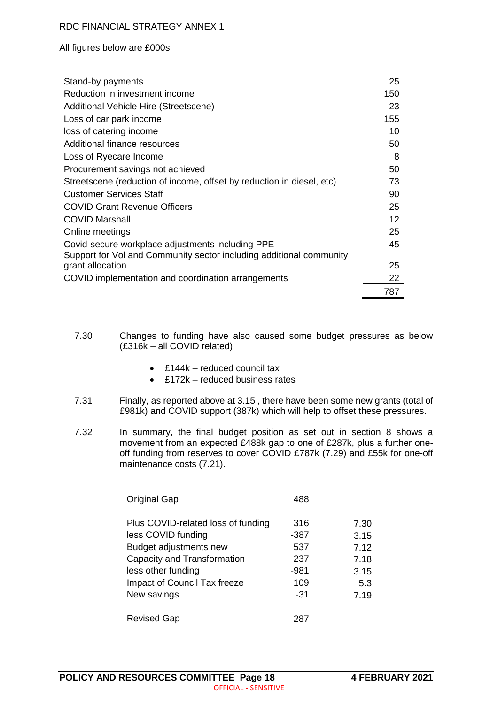All figures below are £000s

| Stand-by payments                                                     | 25  |
|-----------------------------------------------------------------------|-----|
| Reduction in investment income                                        | 150 |
| Additional Vehicle Hire (Streetscene)                                 | 23  |
| Loss of car park income                                               | 155 |
| loss of catering income                                               | 10  |
| Additional finance resources                                          | 50  |
| Loss of Ryecare Income                                                | 8   |
| Procurement savings not achieved                                      | 50  |
| Streetscene (reduction of income, offset by reduction in diesel, etc) | 73  |
| <b>Customer Services Staff</b>                                        | 90  |
| <b>COVID Grant Revenue Officers</b>                                   | 25  |
| <b>COVID Marshall</b>                                                 | 12  |
| Online meetings                                                       | 25  |
| Covid-secure workplace adjustments including PPE                      | 45  |
| Support for Vol and Community sector including additional community   |     |
| grant allocation                                                      | 25  |
| COVID implementation and coordination arrangements                    | 22  |
|                                                                       | 787 |

7.30 Changes to funding have also caused some budget pressures as below (£316k – all COVID related)

- £144k reduced council tax
- £172k reduced business rates
- 7.31 Finally, as reported above at 3.15 , there have been some new grants (total of £981k) and COVID support (387k) which will help to offset these pressures.
- 7.32 In summary, the final budget position as set out in section 8 shows a movement from an expected £488k gap to one of £287k, plus a further oneoff funding from reserves to cover COVID £787k (7.29) and £55k for one-off maintenance costs (7.21).

| <b>Original Gap</b>                | 488    |      |
|------------------------------------|--------|------|
| Plus COVID-related loss of funding | 316    | 7.30 |
| less COVID funding                 | $-387$ | 3.15 |
| Budget adjustments new             | 537    | 7.12 |
| Capacity and Transformation        | 237    | 7.18 |
| less other funding                 | $-981$ | 3.15 |
| Impact of Council Tax freeze       | 109    | 5.3  |
| New savings                        | -31    | 7.19 |
| <b>Revised Gap</b>                 | 287    |      |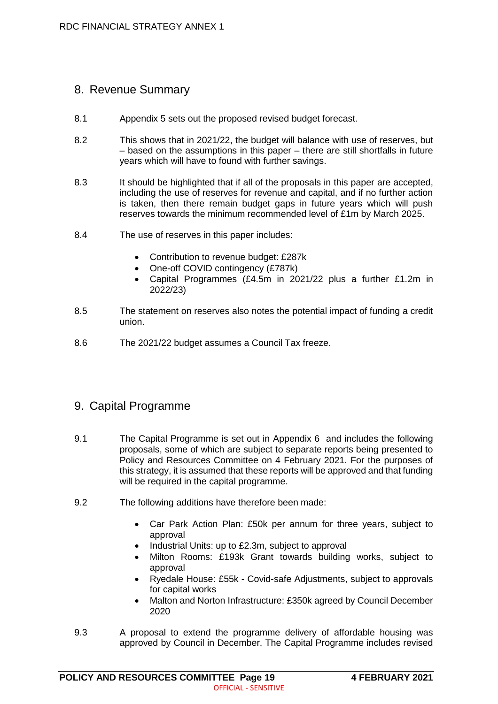# 8. Revenue Summary

- 8.1 Appendix 5 sets out the proposed revised budget forecast.
- 8.2 This shows that in 2021/22, the budget will balance with use of reserves, but – based on the assumptions in this paper – there are still shortfalls in future years which will have to found with further savings.
- 8.3 It should be highlighted that if all of the proposals in this paper are accepted, including the use of reserves for revenue and capital, and if no further action is taken, then there remain budget gaps in future years which will push reserves towards the minimum recommended level of £1m by March 2025.
- 8.4 The use of reserves in this paper includes:
	- Contribution to revenue budget: £287k
	- One-off COVID contingency (£787k)
	- Capital Programmes (£4.5m in 2021/22 plus a further £1.2m in 2022/23)
- 8.5 The statement on reserves also notes the potential impact of funding a credit union.
- 8.6 The 2021/22 budget assumes a Council Tax freeze.

# 9. Capital Programme

- 9.1 The Capital Programme is set out in Appendix 6 and includes the following proposals, some of which are subject to separate reports being presented to Policy and Resources Committee on 4 February 2021. For the purposes of this strategy, it is assumed that these reports will be approved and that funding will be required in the capital programme.
- 9.2 The following additions have therefore been made:
	- Car Park Action Plan: £50k per annum for three years, subject to approval
	- Industrial Units: up to £2.3m, subject to approval
	- Milton Rooms: £193k Grant towards building works, subject to approval
	- Ryedale House: £55k Covid-safe Adjustments, subject to approvals for capital works
	- Malton and Norton Infrastructure: £350k agreed by Council December 2020
- 9.3 A proposal to extend the programme delivery of affordable housing was approved by Council in December. The Capital Programme includes revised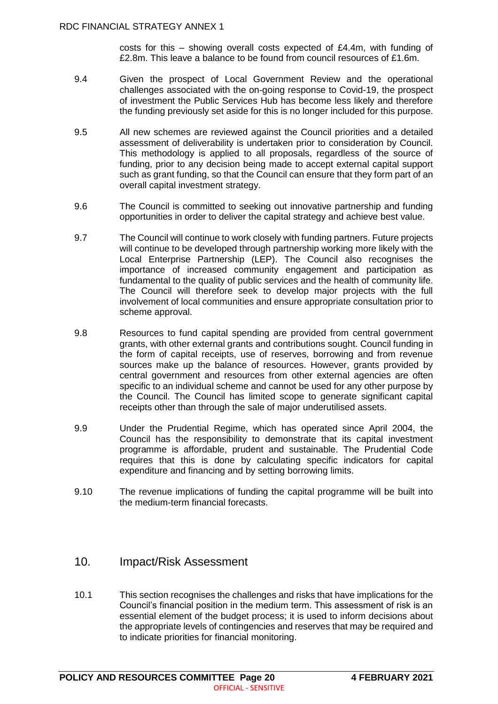costs for this  $-$  showing overall costs expected of £4.4m, with funding of £2.8m. This leave a balance to be found from council resources of £1.6m.

- 9.4 Given the prospect of Local Government Review and the operational challenges associated with the on-going response to Covid-19, the prospect of investment the Public Services Hub has become less likely and therefore the funding previously set aside for this is no longer included for this purpose.
- 9.5 All new schemes are reviewed against the Council priorities and a detailed assessment of deliverability is undertaken prior to consideration by Council. This methodology is applied to all proposals, regardless of the source of funding, prior to any decision being made to accept external capital support such as grant funding, so that the Council can ensure that they form part of an overall capital investment strategy.
- 9.6 The Council is committed to seeking out innovative partnership and funding opportunities in order to deliver the capital strategy and achieve best value.
- 9.7 The Council will continue to work closely with funding partners. Future projects will continue to be developed through partnership working more likely with the Local Enterprise Partnership (LEP). The Council also recognises the importance of increased community engagement and participation as fundamental to the quality of public services and the health of community life. The Council will therefore seek to develop major projects with the full involvement of local communities and ensure appropriate consultation prior to scheme approval.
- 9.8 Resources to fund capital spending are provided from central government grants, with other external grants and contributions sought. Council funding in the form of capital receipts, use of reserves, borrowing and from revenue sources make up the balance of resources. However, grants provided by central government and resources from other external agencies are often specific to an individual scheme and cannot be used for any other purpose by the Council. The Council has limited scope to generate significant capital receipts other than through the sale of major underutilised assets.
- 9.9 Under the Prudential Regime, which has operated since April 2004, the Council has the responsibility to demonstrate that its capital investment programme is affordable, prudent and sustainable. The Prudential Code requires that this is done by calculating specific indicators for capital expenditure and financing and by setting borrowing limits.
- 9.10 The revenue implications of funding the capital programme will be built into the medium-term financial forecasts.

#### 10. Impact/Risk Assessment

10.1 This section recognises the challenges and risks that have implications for the Council's financial position in the medium term. This assessment of risk is an essential element of the budget process; it is used to inform decisions about the appropriate levels of contingencies and reserves that may be required and to indicate priorities for financial monitoring.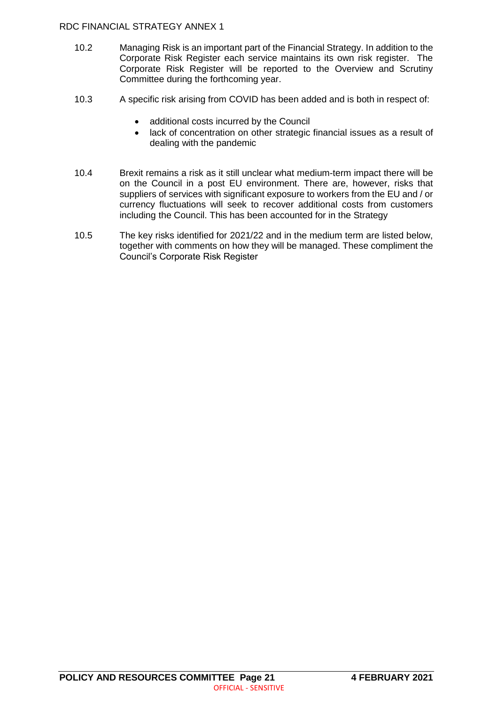- 10.2 Managing Risk is an important part of the Financial Strategy. In addition to the Corporate Risk Register each service maintains its own risk register. The Corporate Risk Register will be reported to the Overview and Scrutiny Committee during the forthcoming year.
- 10.3 A specific risk arising from COVID has been added and is both in respect of:
	- additional costs incurred by the Council
	- lack of concentration on other strategic financial issues as a result of dealing with the pandemic
- 10.4 Brexit remains a risk as it still unclear what medium-term impact there will be on the Council in a post EU environment. There are, however, risks that suppliers of services with significant exposure to workers from the EU and / or currency fluctuations will seek to recover additional costs from customers including the Council. This has been accounted for in the Strategy
- 10.5 The key risks identified for 2021/22 and in the medium term are listed below, together with comments on how they will be managed. These compliment the Council's Corporate Risk Register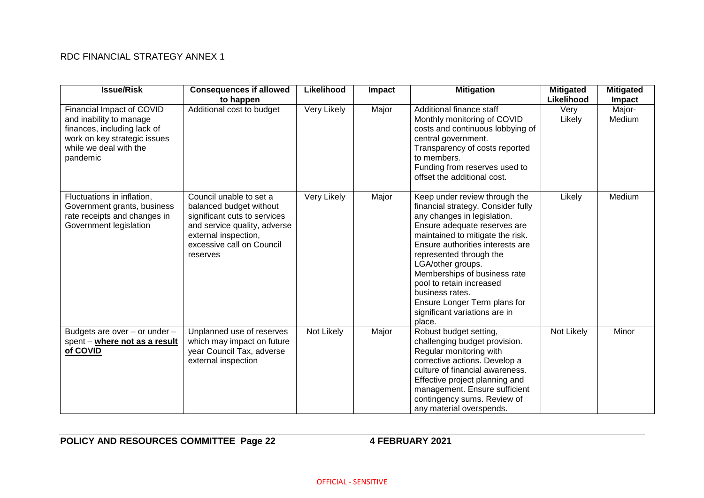| <b>Issue/Risk</b>                                                                                                                                         | <b>Consequences if allowed</b><br>to happen                                                                                                                                         | Likelihood  | Impact | <b>Mitigation</b>                                                                                                                                                                                                                                                                                                                                                                                                    | <b>Mitigated</b><br>Likelihood | <b>Mitigated</b><br><b>Impact</b> |
|-----------------------------------------------------------------------------------------------------------------------------------------------------------|-------------------------------------------------------------------------------------------------------------------------------------------------------------------------------------|-------------|--------|----------------------------------------------------------------------------------------------------------------------------------------------------------------------------------------------------------------------------------------------------------------------------------------------------------------------------------------------------------------------------------------------------------------------|--------------------------------|-----------------------------------|
| Financial Impact of COVID<br>and inability to manage<br>finances, including lack of<br>work on key strategic issues<br>while we deal with the<br>pandemic | Additional cost to budget                                                                                                                                                           | Very Likely | Major  | Additional finance staff<br>Monthly monitoring of COVID<br>costs and continuous lobbying of<br>central government.<br>Transparency of costs reported<br>to members.<br>Funding from reserves used to<br>offset the additional cost.                                                                                                                                                                                  | Very<br>Likely                 | Major-<br>Medium                  |
| Fluctuations in inflation,<br>Government grants, business<br>rate receipts and changes in<br>Government legislation                                       | Council unable to set a<br>balanced budget without<br>significant cuts to services<br>and service quality, adverse<br>external inspection,<br>excessive call on Council<br>reserves | Very Likely | Major  | Keep under review through the<br>financial strategy. Consider fully<br>any changes in legislation.<br>Ensure adequate reserves are<br>maintained to mitigate the risk.<br>Ensure authorities interests are<br>represented through the<br>LGA/other groups.<br>Memberships of business rate<br>pool to retain increased<br>business rates.<br>Ensure Longer Term plans for<br>significant variations are in<br>place. | Likely                         | Medium                            |
| Budgets are over - or under -<br>spent - where not as a result<br>of COVID                                                                                | Unplanned use of reserves<br>which may impact on future<br>year Council Tax, adverse<br>external inspection                                                                         | Not Likely  | Major  | Robust budget setting,<br>challenging budget provision.<br>Regular monitoring with<br>corrective actions. Develop a<br>culture of financial awareness.<br>Effective project planning and<br>management. Ensure sufficient<br>contingency sums. Review of<br>any material overspends.                                                                                                                                 | Not Likely                     | Minor                             |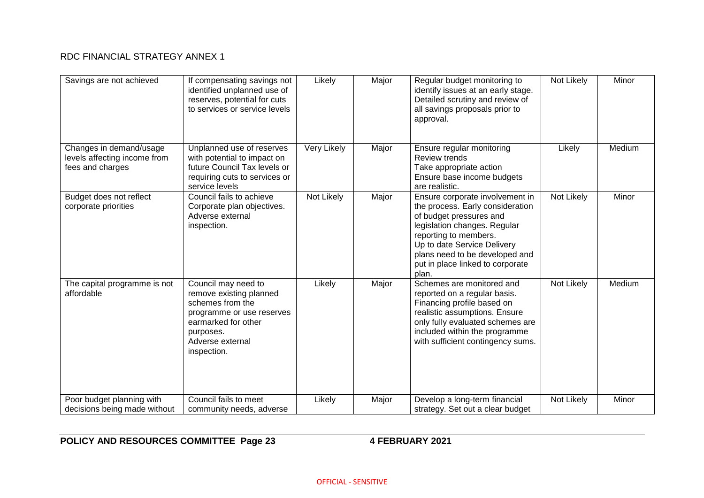| Savings are not achieved                                                    | If compensating savings not<br>identified unplanned use of<br>reserves, potential for cuts<br>to services or service levels                                            | Likely      | Major | Regular budget monitoring to<br>identify issues at an early stage.<br>Detailed scrutiny and review of<br>all savings proposals prior to<br>approval.                                                                                                                  | Not Likely | Minor  |
|-----------------------------------------------------------------------------|------------------------------------------------------------------------------------------------------------------------------------------------------------------------|-------------|-------|-----------------------------------------------------------------------------------------------------------------------------------------------------------------------------------------------------------------------------------------------------------------------|------------|--------|
| Changes in demand/usage<br>levels affecting income from<br>fees and charges | Unplanned use of reserves<br>with potential to impact on<br>future Council Tax levels or<br>requiring cuts to services or<br>service levels                            | Very Likely | Major | Ensure regular monitoring<br><b>Review trends</b><br>Take appropriate action<br>Ensure base income budgets<br>are realistic.                                                                                                                                          | Likely     | Medium |
| Budget does not reflect<br>corporate priorities                             | Council fails to achieve<br>Corporate plan objectives.<br>Adverse external<br>inspection.                                                                              | Not Likely  | Major | Ensure corporate involvement in<br>the process. Early consideration<br>of budget pressures and<br>legislation changes. Regular<br>reporting to members.<br>Up to date Service Delivery<br>plans need to be developed and<br>put in place linked to corporate<br>plan. | Not Likely | Minor  |
| The capital programme is not<br>affordable                                  | Council may need to<br>remove existing planned<br>schemes from the<br>programme or use reserves<br>earmarked for other<br>purposes.<br>Adverse external<br>inspection. | Likely      | Major | Schemes are monitored and<br>reported on a regular basis.<br>Financing profile based on<br>realistic assumptions. Ensure<br>only fully evaluated schemes are<br>included within the programme<br>with sufficient contingency sums.                                    | Not Likely | Medium |
| Poor budget planning with<br>decisions being made without                   | Council fails to meet<br>community needs, adverse                                                                                                                      | Likely      | Major | Develop a long-term financial<br>strategy. Set out a clear budget                                                                                                                                                                                                     | Not Likely | Minor  |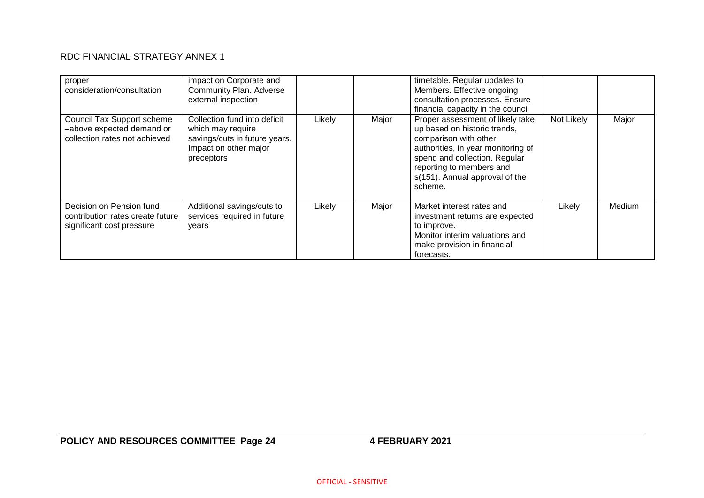| proper<br>consideration/consultation                                                      | impact on Corporate and<br>Community Plan. Adverse<br>external inspection                                                 |        |       | timetable. Regular updates to<br>Members. Effective ongoing<br>consultation processes. Ensure<br>financial capacity in the council                                                                                                        |            |        |
|-------------------------------------------------------------------------------------------|---------------------------------------------------------------------------------------------------------------------------|--------|-------|-------------------------------------------------------------------------------------------------------------------------------------------------------------------------------------------------------------------------------------------|------------|--------|
| Council Tax Support scheme<br>-above expected demand or<br>collection rates not achieved  | Collection fund into deficit<br>which may require<br>savings/cuts in future years.<br>Impact on other major<br>preceptors | Likely | Major | Proper assessment of likely take<br>up based on historic trends,<br>comparison with other<br>authorities, in year monitoring of<br>spend and collection. Regular<br>reporting to members and<br>s(151). Annual approval of the<br>scheme. | Not Likely | Major  |
| Decision on Pension fund<br>contribution rates create future<br>significant cost pressure | Additional savings/cuts to<br>services required in future<br>vears                                                        | Likely | Major | Market interest rates and<br>investment returns are expected<br>to improve.<br>Monitor interim valuations and<br>make provision in financial<br>forecasts.                                                                                | Likely     | Medium |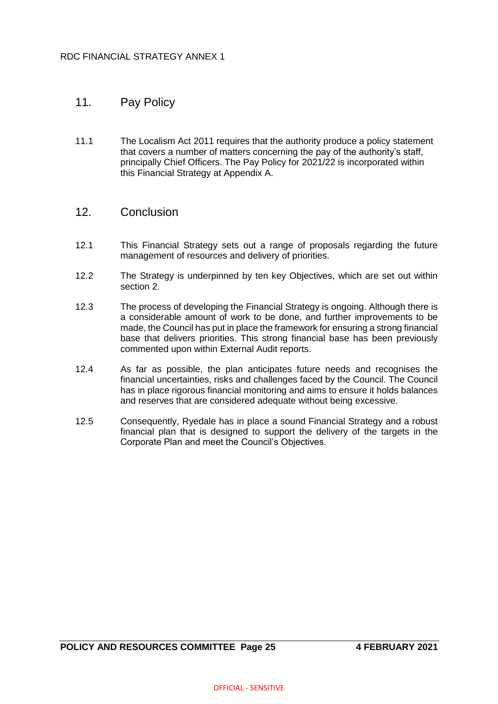# 11. Pay Policy

11.1 The Localism Act 2011 requires that the authority produce a policy statement that covers a number of matters concerning the pay of the authority's staff, principally Chief Officers. The Pay Policy for 2021/22 is incorporated within this Financial Strategy at Appendix A.

#### 12. Conclusion

- 12.1 This Financial Strategy sets out a range of proposals regarding the future management of resources and delivery of priorities.
- 12.2 The Strategy is underpinned by ten key Objectives, which are set out within section 2.
- 12.3 The process of developing the Financial Strategy is ongoing. Although there is a considerable amount of work to be done, and further improvements to be made, the Council has put in place the framework for ensuring a strong financial base that delivers priorities. This strong financial base has been previously commented upon within External Audit reports.
- 12.4 As far as possible, the plan anticipates future needs and recognises the financial uncertainties, risks and challenges faced by the Council. The Council has in place rigorous financial monitoring and aims to ensure it holds balances and reserves that are considered adequate without being excessive.
- 12.5 Consequently, Ryedale has in place a sound Financial Strategy and a robust financial plan that is designed to support the delivery of the targets in the Corporate Plan and meet the Council's Objectives.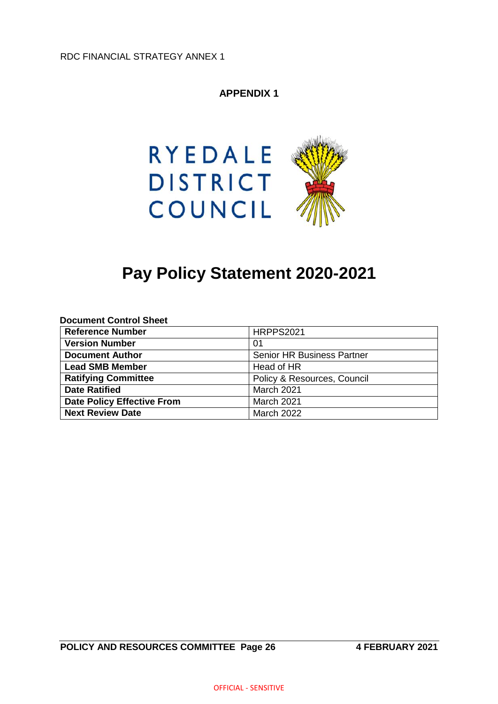# **APPENDIX 1**



# **Pay Policy Statement 2020-2021**

| <b>Document Control Sheet</b>     |                                   |
|-----------------------------------|-----------------------------------|
| <b>Reference Number</b>           | <b>HRPPS2021</b>                  |
| <b>Version Number</b>             | 01                                |
| <b>Document Author</b>            | <b>Senior HR Business Partner</b> |
| <b>Lead SMB Member</b>            | Head of HR                        |
| <b>Ratifying Committee</b>        | Policy & Resources, Council       |
| <b>Date Ratified</b>              | March 2021                        |
| <b>Date Policy Effective From</b> | March 2021                        |
| <b>Next Review Date</b>           | <b>March 2022</b>                 |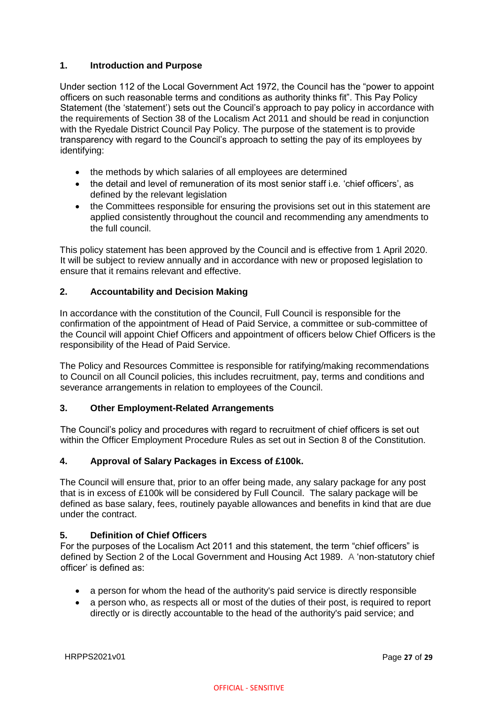#### **1. Introduction and Purpose**

Under section 112 of the Local Government Act 1972, the Council has the "power to appoint officers on such reasonable terms and conditions as authority thinks fit". This Pay Policy Statement (the 'statement') sets out the Council's approach to pay policy in accordance with the requirements of Section 38 of the Localism Act 2011 and should be read in conjunction with the Ryedale District Council Pay Policy. The purpose of the statement is to provide transparency with regard to the Council's approach to setting the pay of its employees by identifying:

- the methods by which salaries of all employees are determined
- the detail and level of remuneration of its most senior staff i.e. 'chief officers', as defined by the relevant legislation
- the Committees responsible for ensuring the provisions set out in this statement are applied consistently throughout the council and recommending any amendments to the full council.

This policy statement has been approved by the Council and is effective from 1 April 2020. It will be subject to review annually and in accordance with new or proposed legislation to ensure that it remains relevant and effective.

#### **2. Accountability and Decision Making**

In accordance with the constitution of the Council, Full Council is responsible for the confirmation of the appointment of Head of Paid Service, a committee or sub-committee of the Council will appoint Chief Officers and appointment of officers below Chief Officers is the responsibility of the Head of Paid Service.

The Policy and Resources Committee is responsible for ratifying/making recommendations to Council on all Council policies, this includes recruitment, pay, terms and conditions and severance arrangements in relation to employees of the Council.

#### **3. Other Employment-Related Arrangements**

The Council's policy and procedures with regard to recruitment of chief officers is set out within the Officer Employment Procedure Rules as set out in Section 8 of the Constitution.

#### **4. Approval of Salary Packages in Excess of £100k.**

The Council will ensure that, prior to an offer being made, any salary package for any post that is in excess of £100k will be considered by Full Council. The salary package will be defined as base salary, fees, routinely payable allowances and benefits in kind that are due under the contract.

#### **5. Definition of Chief Officers**

For the purposes of the Localism Act 2011 and this statement, the term "chief officers" is defined by Section 2 of the Local Government and Housing Act 1989. A 'non-statutory chief officer' is defined as:

- a person for whom the head of the authority's paid service is directly responsible
- a person who, as respects all or most of the duties of their post, is required to report directly or is directly accountable to the head of the authority's paid service; and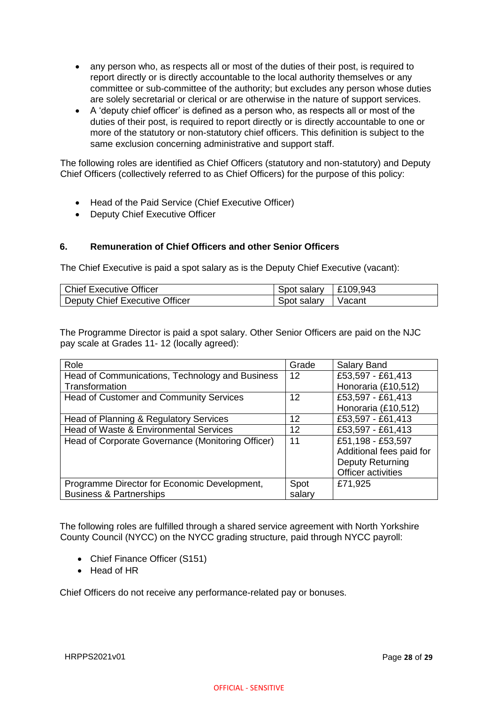- any person who, as respects all or most of the duties of their post, is required to report directly or is directly accountable to the local authority themselves or any committee or sub-committee of the authority; but excludes any person whose duties are solely secretarial or clerical or are otherwise in the nature of support services.
- A 'deputy chief officer' is defined as a person who, as respects all or most of the duties of their post, is required to report directly or is directly accountable to one or more of the statutory or non-statutory chief officers. This definition is subject to the same exclusion concerning administrative and support staff.

The following roles are identified as Chief Officers (statutory and non-statutory) and Deputy Chief Officers (collectively referred to as Chief Officers) for the purpose of this policy:

- Head of the Paid Service (Chief Executive Officer)
- Deputy Chief Executive Officer

#### **6. Remuneration of Chief Officers and other Senior Officers**

The Chief Executive is paid a spot salary as is the Deputy Chief Executive (vacant):

| Chief Executive Officer        | Spot salary   £109,943 |        |
|--------------------------------|------------------------|--------|
| Deputy Chief Executive Officer | Spot salary            | Vacant |

The Programme Director is paid a spot salary. Other Senior Officers are paid on the NJC pay scale at Grades 11- 12 (locally agreed):

| Role                                              | Grade  | Salary Band              |
|---------------------------------------------------|--------|--------------------------|
| Head of Communications, Technology and Business   | 12     | £53,597 - £61,413        |
| Transformation                                    |        | Honoraria (£10,512)      |
| <b>Head of Customer and Community Services</b>    | 12     | £53,597 - £61,413        |
|                                                   |        | Honoraria (£10,512)      |
| Head of Planning & Regulatory Services            | 12     | £53,597 - £61,413        |
| Head of Waste & Environmental Services            | 12     | £53,597 - £61,413        |
| Head of Corporate Governance (Monitoring Officer) | 11     | £51,198 - £53,597        |
|                                                   |        | Additional fees paid for |
|                                                   |        | <b>Deputy Returning</b>  |
|                                                   |        | Officer activities       |
| Programme Director for Economic Development,      | Spot   | £71,925                  |
| <b>Business &amp; Partnerships</b>                | salary |                          |

The following roles are fulfilled through a shared service agreement with North Yorkshire County Council (NYCC) on the NYCC grading structure, paid through NYCC payroll:

- Chief Finance Officer (S151)
- Head of HR

Chief Officers do not receive any performance-related pay or bonuses.